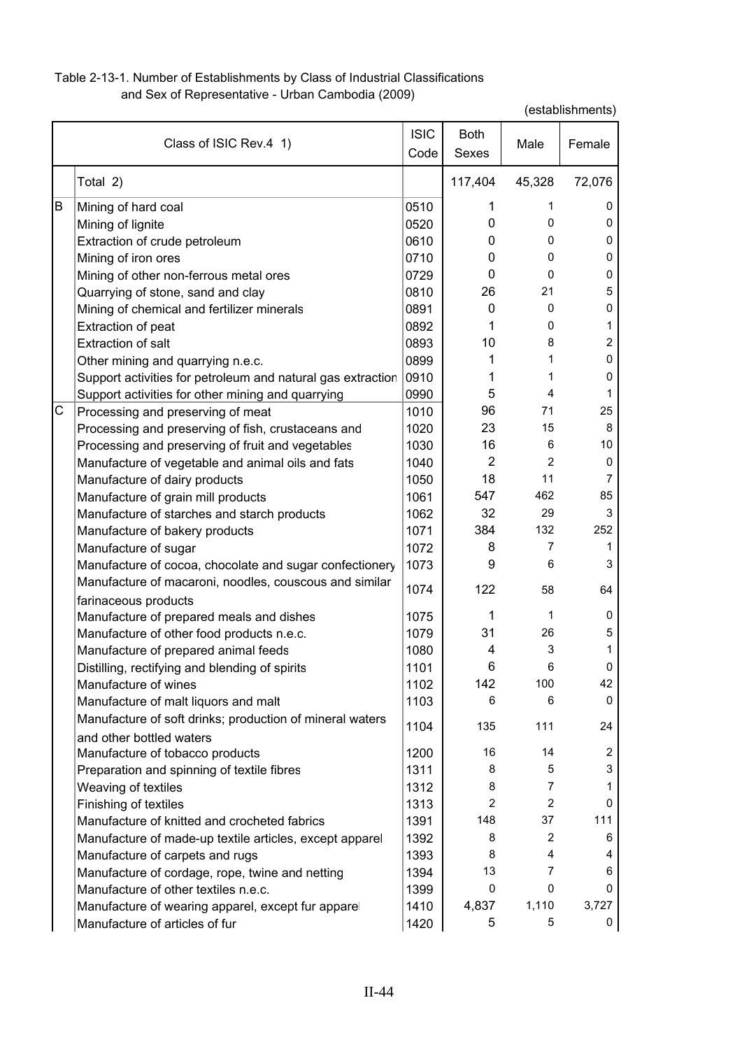## Table 2-13-1. Number of Establishments by Class of Industrial Classifications and Sex of Representative - Urban Cambodia (2009)

|   | Class of ISIC Rev.4 1)                                      | <b>ISIC</b><br>Code | <b>Both</b><br>Sexes | Male           | Female |
|---|-------------------------------------------------------------|---------------------|----------------------|----------------|--------|
|   | Total 2)                                                    |                     | 117,404              | 45,328         | 72,076 |
| В | Mining of hard coal                                         | 0510                | 1                    | 1              | 0      |
|   | Mining of lignite                                           | 0520                | $\mathbf{0}$         | 0              | 0      |
|   | Extraction of crude petroleum                               | 0610                | 0                    | 0              | 0      |
|   | Mining of iron ores                                         | 0710                | 0                    | 0              | 0      |
|   | Mining of other non-ferrous metal ores                      | 0729                | 0                    | $\Omega$       | 0      |
|   | Quarrying of stone, sand and clay                           | 0810                | 26                   | 21             | 5      |
|   | Mining of chemical and fertilizer minerals                  | 0891                | 0                    | 0              | 0      |
|   | Extraction of peat                                          | 0892                | 1                    | 0              | 1      |
|   | <b>Extraction of salt</b>                                   | 0893                | 10                   | 8              | 2      |
|   | Other mining and quarrying n.e.c.                           | 0899                | 1                    | 1              | 0      |
|   | Support activities for petroleum and natural gas extraction | 0910                | 1                    | 1              | 0      |
|   | Support activities for other mining and quarrying           | 0990                | 5                    | 4              | 1      |
| С | Processing and preserving of meat                           | 1010                | 96                   | 71             | 25     |
|   | Processing and preserving of fish, crustaceans and          | 1020                | 23                   | 15             | 8      |
|   | Processing and preserving of fruit and vegetables           | 1030                | 16                   | 6              | 10     |
|   | Manufacture of vegetable and animal oils and fats           | 1040                | $\overline{2}$       | $\overline{2}$ | 0      |
|   | Manufacture of dairy products                               | 1050                | 18                   | 11             | 7      |
|   | Manufacture of grain mill products                          | 1061                | 547                  | 462            | 85     |
|   | Manufacture of starches and starch products                 | 1062                | 32                   | 29             | 3      |
|   | Manufacture of bakery products                              | 1071                | 384                  | 132            | 252    |
|   | Manufacture of sugar                                        | 1072                | 8                    | 7              | 1      |
|   | Manufacture of cocoa, chocolate and sugar confectionery     | 1073                | 9                    | 6              | 3      |
|   | Manufacture of macaroni, noodles, couscous and similar      |                     |                      |                |        |
|   | farinaceous products                                        | 1074                | 122                  | 58             | 64     |
|   | Manufacture of prepared meals and dishes                    | 1075                | 1                    | 1              | 0      |
|   | Manufacture of other food products n.e.c.                   | 1079                | 31                   | 26             | 5      |
|   | Manufacture of prepared animal feeds                        | 1080                | 4                    | 3              | 1      |
|   | Distilling, rectifying and blending of spirits              | 1101                | 6                    | 6              | 0      |
|   | Manufacture of wines                                        | 1102                | 142                  | 100            | 42     |
|   | Manufacture of malt liquors and malt                        | 1103                | 6                    | 6              | 0      |
|   | Manufacture of soft drinks; production of mineral waters    |                     |                      |                |        |
|   | and other bottled waters                                    | 1104                | 135                  | 111            | 24     |
|   | Manufacture of tobacco products                             | 1200                | 16                   | 14             | 2      |
|   | Preparation and spinning of textile fibres                  | 1311                | 8                    | 5              | 3      |
|   | Weaving of textiles                                         | 1312                | 8                    | 7              |        |
|   | Finishing of textiles                                       | 1313                | $\overline{2}$       | $\overline{2}$ | 0      |
|   | Manufacture of knitted and crocheted fabrics                | 1391                | 148                  | 37             | 111    |
|   | Manufacture of made-up textile articles, except apparel     | 1392                | 8                    | $\overline{2}$ | 6      |
|   | Manufacture of carpets and rugs                             | 1393                | 8                    | 4              | 4      |
|   | Manufacture of cordage, rope, twine and netting             | 1394                | 13                   | 7              | 6      |
|   | Manufacture of other textiles n.e.c.                        | 1399                | 0                    | $\mathbf 0$    | 0      |
|   | Manufacture of wearing apparel, except fur apparel          | 1410                | 4,837                | 1,110          | 3,727  |
|   | Manufacture of articles of fur                              | 1420                | 5                    | 5              | 0      |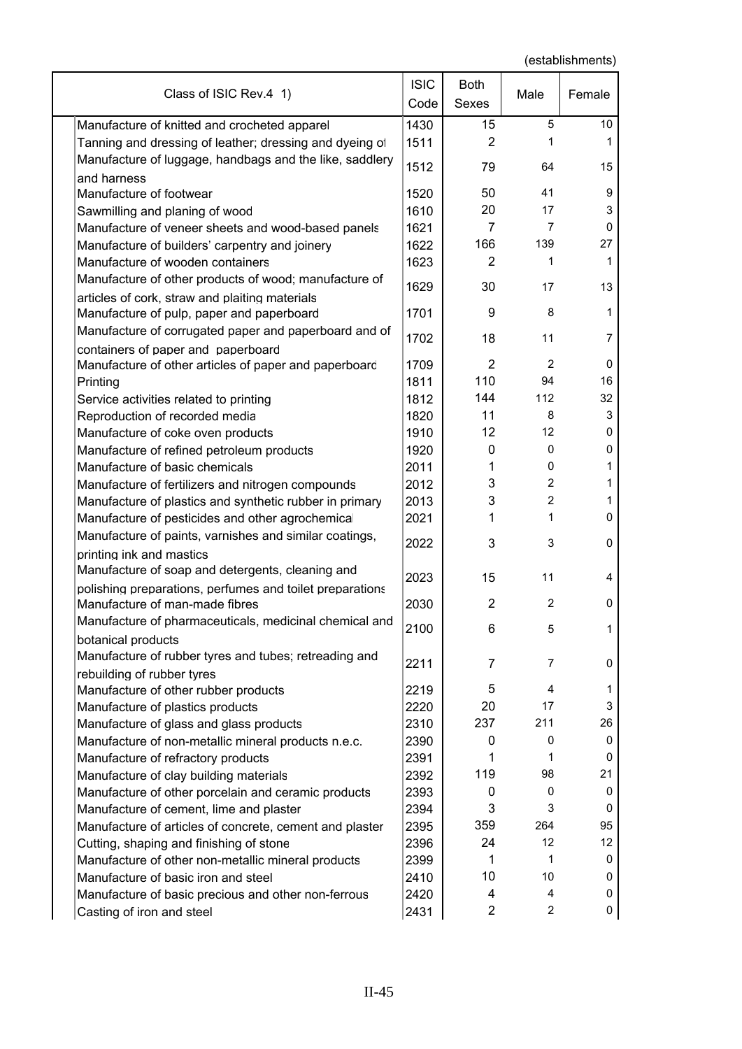| Class of ISIC Rev.4 1)                                                 | <b>ISIC</b><br>Code | <b>Both</b><br>Sexes | Male           | Female         |
|------------------------------------------------------------------------|---------------------|----------------------|----------------|----------------|
| Manufacture of knitted and crocheted apparel                           | 1430                | 15                   | 5              | 10             |
| Tanning and dressing of leather; dressing and dyeing of                | 1511                | 2                    | 1              | 1              |
| Manufacture of luggage, handbags and the like, saddlery<br>and harness | 1512                | 79                   | 64             | 15             |
| Manufacture of footwear                                                | 1520                | 50                   | 41             | 9              |
| Sawmilling and planing of wood                                         | 1610                | 20                   | 17             | 3              |
| Manufacture of veneer sheets and wood-based panels                     | 1621                | 7                    | 7              | 0              |
| Manufacture of builders' carpentry and joinery                         | 1622                | 166                  | 139            | 27             |
| Manufacture of wooden containers                                       | 1623                | $\overline{2}$       | 1              | 1              |
| Manufacture of other products of wood; manufacture of                  |                     |                      |                |                |
| articles of cork, straw and plaiting materials                         | 1629                | 30                   | 17             | 13             |
| Manufacture of pulp, paper and paperboard                              | 1701                | 9                    | 8              | 1              |
| Manufacture of corrugated paper and paperboard and of                  | 1702                | 18                   | 11             | $\overline{7}$ |
| containers of paper and paperboard                                     |                     |                      |                |                |
| Manufacture of other articles of paper and paperboard                  | 1709                | $\overline{2}$       | 2              | 0              |
| Printing                                                               | 1811                | 110                  | 94             | 16             |
| Service activities related to printing                                 | 1812                | 144                  | 112            | 32             |
| Reproduction of recorded media                                         | 1820                | 11                   | 8              | 3              |
| Manufacture of coke oven products                                      | 1910                | 12                   | 12             | 0              |
| Manufacture of refined petroleum products                              | 1920                | $\mathbf{0}$         | 0              | 0              |
| Manufacture of basic chemicals                                         | 2011                | 1                    | 0              | 1              |
| Manufacture of fertilizers and nitrogen compounds                      | 2012                | 3                    | 2              | 1              |
| Manufacture of plastics and synthetic rubber in primary                | 2013                | 3                    | $\overline{2}$ | 1              |
| Manufacture of pesticides and other agrochemical                       | 2021                | 1                    | 1              | 0              |
| Manufacture of paints, varnishes and similar coatings,                 | 2022                | 3                    | 3              | 0              |
| printing ink and mastics                                               |                     |                      |                |                |
| Manufacture of soap and detergents, cleaning and                       | 2023                | 15                   | 11             | 4              |
| polishing preparations, perfumes and toilet preparations               |                     |                      |                |                |
| Manufacture of man-made fibres                                         | 2030                | $\overline{2}$       | $\overline{2}$ | 0              |
| Manufacture of pharmaceuticals, medicinal chemical and                 | 2100                | 6                    | 5              | T.             |
| botanical products                                                     |                     |                      |                |                |
| Manufacture of rubber tyres and tubes; retreading and                  | 2211                | 7                    | 7              | 0              |
| rebuilding of rubber tyres                                             |                     |                      |                |                |
| Manufacture of other rubber products                                   | 2219                | 5                    | 4              | 1<br>3         |
| Manufacture of plastics products                                       | 2220                | 20                   | 17             |                |
| Manufacture of glass and glass products                                | 2310                | 237                  | 211            | 26             |
| Manufacture of non-metallic mineral products n.e.c.                    | 2390                | 0                    | 0              | 0              |
| Manufacture of refractory products                                     | 2391                | 1                    | 1              | 0<br>21        |
| Manufacture of clay building materials                                 | 2392                | 119                  | 98             |                |
| Manufacture of other porcelain and ceramic products                    | 2393                | 0                    | 0<br>3         | 0<br>0         |
| Manufacture of cement, lime and plaster                                | 2394                | 3<br>359             | 264            | 95             |
| Manufacture of articles of concrete, cement and plaster                | 2395                | 24                   | 12             | 12             |
| Cutting, shaping and finishing of stone                                | 2396                | 1                    | 1              | 0              |
| Manufacture of other non-metallic mineral products                     | 2399                | 10                   | 10             | 0              |
| Manufacture of basic iron and steel                                    | 2410                | 4                    | 4              | 0              |
| Manufacture of basic precious and other non-ferrous                    | 2420                | $\overline{2}$       | $\overline{c}$ |                |
| Casting of iron and steel                                              | 2431                |                      |                | 0              |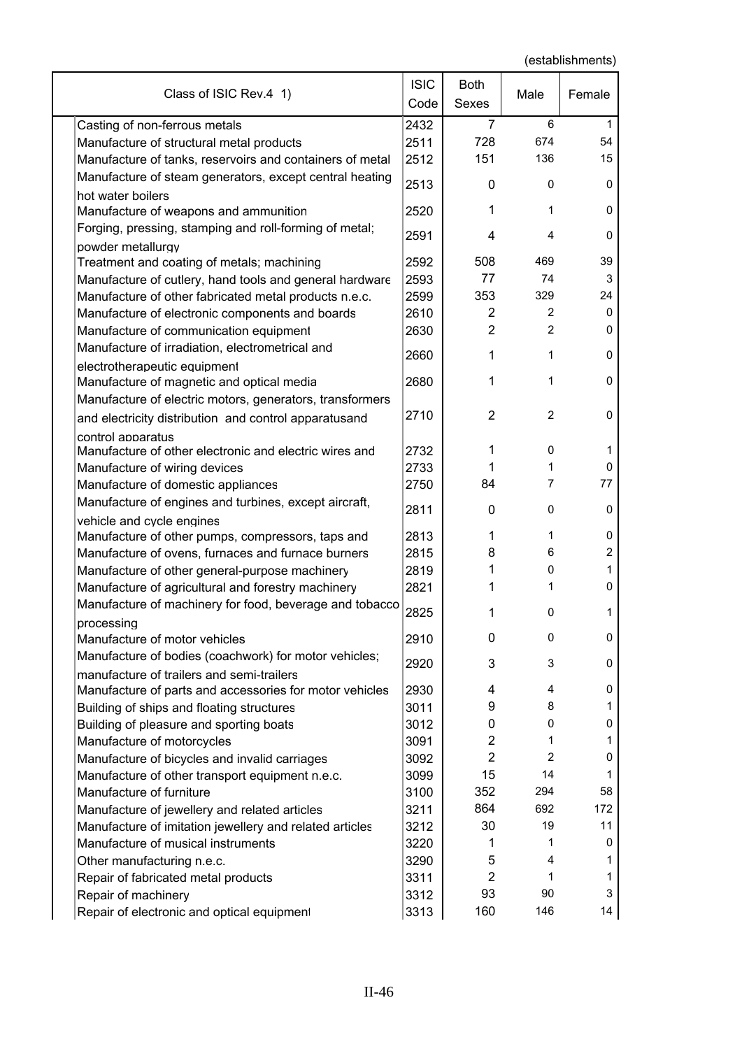| 2432<br>6<br>Casting of non-ferrous metals<br>7<br>1<br>728<br>674<br>54<br>2511<br>Manufacture of structural metal products<br>2512<br>151<br>136<br>15<br>Manufacture of tanks, reservoirs and containers of metal<br>Manufacture of steam generators, except central heating<br>2513<br>0<br>0<br>0<br>hot water boilers<br>$\mathbf 0$<br>1<br>1<br>2520<br>Manufacture of weapons and ammunition<br>Forging, pressing, stamping and roll-forming of metal;<br>2591<br>0<br>4<br>4<br>powder metallurgy<br>508<br>469<br>39<br>Treatment and coating of metals; machining<br>2592<br>77<br>2593<br>74<br>3<br>Manufacture of cutlery, hand tools and general hardware<br>353<br>329<br>24<br>Manufacture of other fabricated metal products n.e.c.<br>2599<br>2610<br>2<br>2<br>$\mathbf 0$<br>Manufacture of electronic components and boards<br>$\overline{2}$<br>2<br>$\mathbf 0$<br>Manufacture of communication equipment<br>2630<br>Manufacture of irradiation, electrometrical and<br>2660<br>1<br>1<br>0<br>electrotherapeutic equipment<br>2680<br>$\mathbf 0$<br>1<br>1<br>Manufacture of magnetic and optical media<br>Manufacture of electric motors, generators, transformers<br>2710<br>2<br>2<br>0<br>and electricity distribution and control apparatusand<br>control apparatus<br>0<br>Manufacture of other electronic and electric wires and<br>2732<br>1<br>1<br>2733<br>Manufacture of wiring devices<br>1<br>1<br>0<br>2750<br>84<br>7<br>77<br>Manufacture of domestic appliances<br>Manufacture of engines and turbines, except aircraft,<br>2811<br>0<br>0<br>0<br>vehicle and cycle engines<br>2813<br>1<br>0<br>Manufacture of other pumps, compressors, taps and<br>1<br>$\overline{c}$<br>2815<br>8<br>6<br>Manufacture of ovens, furnaces and furnace burners<br>Manufacture of other general-purpose machinery<br>2819<br>1<br>0<br>1<br>2821<br>Manufacture of agricultural and forestry machinery<br>1<br>O<br>Manufacture of machinery for food, beverage and tobacco<br>2825<br>0<br>1<br>1<br>processing<br>2910<br>0<br>0<br>0<br>Manufacture of motor vehicles<br>Manufacture of bodies (coachwork) for motor vehicles;<br>2920<br>3<br>3<br>0<br>manufacture of trailers and semi-trailers<br>Manufacture of parts and accessories for motor vehicles<br>2930<br>0<br>4<br>4<br>9<br>Building of ships and floating structures<br>3011<br>8<br>1<br>0<br>Building of pleasure and sporting boats<br>3012<br>0<br>0<br>$\overline{c}$<br>Manufacture of motorcycles<br>3091<br>1<br>1<br>$\overline{2}$<br>$\overline{2}$<br>Manufacture of bicycles and invalid carriages<br>3092<br>0<br>15<br>14<br>Manufacture of other transport equipment n.e.c.<br>3099<br>1<br>352<br>Manufacture of furniture<br>294<br>58<br>3100<br>864<br>692<br>172<br>Manufacture of jewellery and related articles<br>3211<br>30<br>19<br>Manufacture of imitation jewellery and related articles<br>3212<br>11<br>Manufacture of musical instruments<br>3220<br>1<br>0<br>1<br>5<br>Other manufacturing n.e.c.<br>3290<br>4<br>1<br>$\overline{2}$<br>3311<br>1<br>Repair of fabricated metal products<br>1<br>93<br>90<br>3<br>Repair of machinery<br>3312 | Class of ISIC Rev.4 1)                     | <b>ISIC</b><br>Code | Both<br>Sexes | Male | Female |
|--------------------------------------------------------------------------------------------------------------------------------------------------------------------------------------------------------------------------------------------------------------------------------------------------------------------------------------------------------------------------------------------------------------------------------------------------------------------------------------------------------------------------------------------------------------------------------------------------------------------------------------------------------------------------------------------------------------------------------------------------------------------------------------------------------------------------------------------------------------------------------------------------------------------------------------------------------------------------------------------------------------------------------------------------------------------------------------------------------------------------------------------------------------------------------------------------------------------------------------------------------------------------------------------------------------------------------------------------------------------------------------------------------------------------------------------------------------------------------------------------------------------------------------------------------------------------------------------------------------------------------------------------------------------------------------------------------------------------------------------------------------------------------------------------------------------------------------------------------------------------------------------------------------------------------------------------------------------------------------------------------------------------------------------------------------------------------------------------------------------------------------------------------------------------------------------------------------------------------------------------------------------------------------------------------------------------------------------------------------------------------------------------------------------------------------------------------------------------------------------------------------------------------------------------------------------------------------------------------------------------------------------------------------------------------------------------------------------------------------------------------------------------------------------------------------------------------------------------------------------------------------------------------------------------------------------------------------------------------------------------------------------------------------------------------------------------------------------------------------------------------------------------------------------------------------|--------------------------------------------|---------------------|---------------|------|--------|
|                                                                                                                                                                                                                                                                                                                                                                                                                                                                                                                                                                                                                                                                                                                                                                                                                                                                                                                                                                                                                                                                                                                                                                                                                                                                                                                                                                                                                                                                                                                                                                                                                                                                                                                                                                                                                                                                                                                                                                                                                                                                                                                                                                                                                                                                                                                                                                                                                                                                                                                                                                                                                                                                                                                                                                                                                                                                                                                                                                                                                                                                                                                                                                                      |                                            |                     |               |      |        |
|                                                                                                                                                                                                                                                                                                                                                                                                                                                                                                                                                                                                                                                                                                                                                                                                                                                                                                                                                                                                                                                                                                                                                                                                                                                                                                                                                                                                                                                                                                                                                                                                                                                                                                                                                                                                                                                                                                                                                                                                                                                                                                                                                                                                                                                                                                                                                                                                                                                                                                                                                                                                                                                                                                                                                                                                                                                                                                                                                                                                                                                                                                                                                                                      |                                            |                     |               |      |        |
|                                                                                                                                                                                                                                                                                                                                                                                                                                                                                                                                                                                                                                                                                                                                                                                                                                                                                                                                                                                                                                                                                                                                                                                                                                                                                                                                                                                                                                                                                                                                                                                                                                                                                                                                                                                                                                                                                                                                                                                                                                                                                                                                                                                                                                                                                                                                                                                                                                                                                                                                                                                                                                                                                                                                                                                                                                                                                                                                                                                                                                                                                                                                                                                      |                                            |                     |               |      |        |
|                                                                                                                                                                                                                                                                                                                                                                                                                                                                                                                                                                                                                                                                                                                                                                                                                                                                                                                                                                                                                                                                                                                                                                                                                                                                                                                                                                                                                                                                                                                                                                                                                                                                                                                                                                                                                                                                                                                                                                                                                                                                                                                                                                                                                                                                                                                                                                                                                                                                                                                                                                                                                                                                                                                                                                                                                                                                                                                                                                                                                                                                                                                                                                                      |                                            |                     |               |      |        |
|                                                                                                                                                                                                                                                                                                                                                                                                                                                                                                                                                                                                                                                                                                                                                                                                                                                                                                                                                                                                                                                                                                                                                                                                                                                                                                                                                                                                                                                                                                                                                                                                                                                                                                                                                                                                                                                                                                                                                                                                                                                                                                                                                                                                                                                                                                                                                                                                                                                                                                                                                                                                                                                                                                                                                                                                                                                                                                                                                                                                                                                                                                                                                                                      |                                            |                     |               |      |        |
|                                                                                                                                                                                                                                                                                                                                                                                                                                                                                                                                                                                                                                                                                                                                                                                                                                                                                                                                                                                                                                                                                                                                                                                                                                                                                                                                                                                                                                                                                                                                                                                                                                                                                                                                                                                                                                                                                                                                                                                                                                                                                                                                                                                                                                                                                                                                                                                                                                                                                                                                                                                                                                                                                                                                                                                                                                                                                                                                                                                                                                                                                                                                                                                      |                                            |                     |               |      |        |
|                                                                                                                                                                                                                                                                                                                                                                                                                                                                                                                                                                                                                                                                                                                                                                                                                                                                                                                                                                                                                                                                                                                                                                                                                                                                                                                                                                                                                                                                                                                                                                                                                                                                                                                                                                                                                                                                                                                                                                                                                                                                                                                                                                                                                                                                                                                                                                                                                                                                                                                                                                                                                                                                                                                                                                                                                                                                                                                                                                                                                                                                                                                                                                                      |                                            |                     |               |      |        |
|                                                                                                                                                                                                                                                                                                                                                                                                                                                                                                                                                                                                                                                                                                                                                                                                                                                                                                                                                                                                                                                                                                                                                                                                                                                                                                                                                                                                                                                                                                                                                                                                                                                                                                                                                                                                                                                                                                                                                                                                                                                                                                                                                                                                                                                                                                                                                                                                                                                                                                                                                                                                                                                                                                                                                                                                                                                                                                                                                                                                                                                                                                                                                                                      |                                            |                     |               |      |        |
|                                                                                                                                                                                                                                                                                                                                                                                                                                                                                                                                                                                                                                                                                                                                                                                                                                                                                                                                                                                                                                                                                                                                                                                                                                                                                                                                                                                                                                                                                                                                                                                                                                                                                                                                                                                                                                                                                                                                                                                                                                                                                                                                                                                                                                                                                                                                                                                                                                                                                                                                                                                                                                                                                                                                                                                                                                                                                                                                                                                                                                                                                                                                                                                      |                                            |                     |               |      |        |
|                                                                                                                                                                                                                                                                                                                                                                                                                                                                                                                                                                                                                                                                                                                                                                                                                                                                                                                                                                                                                                                                                                                                                                                                                                                                                                                                                                                                                                                                                                                                                                                                                                                                                                                                                                                                                                                                                                                                                                                                                                                                                                                                                                                                                                                                                                                                                                                                                                                                                                                                                                                                                                                                                                                                                                                                                                                                                                                                                                                                                                                                                                                                                                                      |                                            |                     |               |      |        |
|                                                                                                                                                                                                                                                                                                                                                                                                                                                                                                                                                                                                                                                                                                                                                                                                                                                                                                                                                                                                                                                                                                                                                                                                                                                                                                                                                                                                                                                                                                                                                                                                                                                                                                                                                                                                                                                                                                                                                                                                                                                                                                                                                                                                                                                                                                                                                                                                                                                                                                                                                                                                                                                                                                                                                                                                                                                                                                                                                                                                                                                                                                                                                                                      |                                            |                     |               |      |        |
|                                                                                                                                                                                                                                                                                                                                                                                                                                                                                                                                                                                                                                                                                                                                                                                                                                                                                                                                                                                                                                                                                                                                                                                                                                                                                                                                                                                                                                                                                                                                                                                                                                                                                                                                                                                                                                                                                                                                                                                                                                                                                                                                                                                                                                                                                                                                                                                                                                                                                                                                                                                                                                                                                                                                                                                                                                                                                                                                                                                                                                                                                                                                                                                      |                                            |                     |               |      |        |
|                                                                                                                                                                                                                                                                                                                                                                                                                                                                                                                                                                                                                                                                                                                                                                                                                                                                                                                                                                                                                                                                                                                                                                                                                                                                                                                                                                                                                                                                                                                                                                                                                                                                                                                                                                                                                                                                                                                                                                                                                                                                                                                                                                                                                                                                                                                                                                                                                                                                                                                                                                                                                                                                                                                                                                                                                                                                                                                                                                                                                                                                                                                                                                                      |                                            |                     |               |      |        |
|                                                                                                                                                                                                                                                                                                                                                                                                                                                                                                                                                                                                                                                                                                                                                                                                                                                                                                                                                                                                                                                                                                                                                                                                                                                                                                                                                                                                                                                                                                                                                                                                                                                                                                                                                                                                                                                                                                                                                                                                                                                                                                                                                                                                                                                                                                                                                                                                                                                                                                                                                                                                                                                                                                                                                                                                                                                                                                                                                                                                                                                                                                                                                                                      |                                            |                     |               |      |        |
|                                                                                                                                                                                                                                                                                                                                                                                                                                                                                                                                                                                                                                                                                                                                                                                                                                                                                                                                                                                                                                                                                                                                                                                                                                                                                                                                                                                                                                                                                                                                                                                                                                                                                                                                                                                                                                                                                                                                                                                                                                                                                                                                                                                                                                                                                                                                                                                                                                                                                                                                                                                                                                                                                                                                                                                                                                                                                                                                                                                                                                                                                                                                                                                      |                                            |                     |               |      |        |
|                                                                                                                                                                                                                                                                                                                                                                                                                                                                                                                                                                                                                                                                                                                                                                                                                                                                                                                                                                                                                                                                                                                                                                                                                                                                                                                                                                                                                                                                                                                                                                                                                                                                                                                                                                                                                                                                                                                                                                                                                                                                                                                                                                                                                                                                                                                                                                                                                                                                                                                                                                                                                                                                                                                                                                                                                                                                                                                                                                                                                                                                                                                                                                                      |                                            |                     |               |      |        |
|                                                                                                                                                                                                                                                                                                                                                                                                                                                                                                                                                                                                                                                                                                                                                                                                                                                                                                                                                                                                                                                                                                                                                                                                                                                                                                                                                                                                                                                                                                                                                                                                                                                                                                                                                                                                                                                                                                                                                                                                                                                                                                                                                                                                                                                                                                                                                                                                                                                                                                                                                                                                                                                                                                                                                                                                                                                                                                                                                                                                                                                                                                                                                                                      |                                            |                     |               |      |        |
|                                                                                                                                                                                                                                                                                                                                                                                                                                                                                                                                                                                                                                                                                                                                                                                                                                                                                                                                                                                                                                                                                                                                                                                                                                                                                                                                                                                                                                                                                                                                                                                                                                                                                                                                                                                                                                                                                                                                                                                                                                                                                                                                                                                                                                                                                                                                                                                                                                                                                                                                                                                                                                                                                                                                                                                                                                                                                                                                                                                                                                                                                                                                                                                      |                                            |                     |               |      |        |
|                                                                                                                                                                                                                                                                                                                                                                                                                                                                                                                                                                                                                                                                                                                                                                                                                                                                                                                                                                                                                                                                                                                                                                                                                                                                                                                                                                                                                                                                                                                                                                                                                                                                                                                                                                                                                                                                                                                                                                                                                                                                                                                                                                                                                                                                                                                                                                                                                                                                                                                                                                                                                                                                                                                                                                                                                                                                                                                                                                                                                                                                                                                                                                                      |                                            |                     |               |      |        |
|                                                                                                                                                                                                                                                                                                                                                                                                                                                                                                                                                                                                                                                                                                                                                                                                                                                                                                                                                                                                                                                                                                                                                                                                                                                                                                                                                                                                                                                                                                                                                                                                                                                                                                                                                                                                                                                                                                                                                                                                                                                                                                                                                                                                                                                                                                                                                                                                                                                                                                                                                                                                                                                                                                                                                                                                                                                                                                                                                                                                                                                                                                                                                                                      |                                            |                     |               |      |        |
|                                                                                                                                                                                                                                                                                                                                                                                                                                                                                                                                                                                                                                                                                                                                                                                                                                                                                                                                                                                                                                                                                                                                                                                                                                                                                                                                                                                                                                                                                                                                                                                                                                                                                                                                                                                                                                                                                                                                                                                                                                                                                                                                                                                                                                                                                                                                                                                                                                                                                                                                                                                                                                                                                                                                                                                                                                                                                                                                                                                                                                                                                                                                                                                      |                                            |                     |               |      |        |
|                                                                                                                                                                                                                                                                                                                                                                                                                                                                                                                                                                                                                                                                                                                                                                                                                                                                                                                                                                                                                                                                                                                                                                                                                                                                                                                                                                                                                                                                                                                                                                                                                                                                                                                                                                                                                                                                                                                                                                                                                                                                                                                                                                                                                                                                                                                                                                                                                                                                                                                                                                                                                                                                                                                                                                                                                                                                                                                                                                                                                                                                                                                                                                                      |                                            |                     |               |      |        |
|                                                                                                                                                                                                                                                                                                                                                                                                                                                                                                                                                                                                                                                                                                                                                                                                                                                                                                                                                                                                                                                                                                                                                                                                                                                                                                                                                                                                                                                                                                                                                                                                                                                                                                                                                                                                                                                                                                                                                                                                                                                                                                                                                                                                                                                                                                                                                                                                                                                                                                                                                                                                                                                                                                                                                                                                                                                                                                                                                                                                                                                                                                                                                                                      |                                            |                     |               |      |        |
|                                                                                                                                                                                                                                                                                                                                                                                                                                                                                                                                                                                                                                                                                                                                                                                                                                                                                                                                                                                                                                                                                                                                                                                                                                                                                                                                                                                                                                                                                                                                                                                                                                                                                                                                                                                                                                                                                                                                                                                                                                                                                                                                                                                                                                                                                                                                                                                                                                                                                                                                                                                                                                                                                                                                                                                                                                                                                                                                                                                                                                                                                                                                                                                      |                                            |                     |               |      |        |
|                                                                                                                                                                                                                                                                                                                                                                                                                                                                                                                                                                                                                                                                                                                                                                                                                                                                                                                                                                                                                                                                                                                                                                                                                                                                                                                                                                                                                                                                                                                                                                                                                                                                                                                                                                                                                                                                                                                                                                                                                                                                                                                                                                                                                                                                                                                                                                                                                                                                                                                                                                                                                                                                                                                                                                                                                                                                                                                                                                                                                                                                                                                                                                                      |                                            |                     |               |      |        |
|                                                                                                                                                                                                                                                                                                                                                                                                                                                                                                                                                                                                                                                                                                                                                                                                                                                                                                                                                                                                                                                                                                                                                                                                                                                                                                                                                                                                                                                                                                                                                                                                                                                                                                                                                                                                                                                                                                                                                                                                                                                                                                                                                                                                                                                                                                                                                                                                                                                                                                                                                                                                                                                                                                                                                                                                                                                                                                                                                                                                                                                                                                                                                                                      |                                            |                     |               |      |        |
|                                                                                                                                                                                                                                                                                                                                                                                                                                                                                                                                                                                                                                                                                                                                                                                                                                                                                                                                                                                                                                                                                                                                                                                                                                                                                                                                                                                                                                                                                                                                                                                                                                                                                                                                                                                                                                                                                                                                                                                                                                                                                                                                                                                                                                                                                                                                                                                                                                                                                                                                                                                                                                                                                                                                                                                                                                                                                                                                                                                                                                                                                                                                                                                      |                                            |                     |               |      |        |
|                                                                                                                                                                                                                                                                                                                                                                                                                                                                                                                                                                                                                                                                                                                                                                                                                                                                                                                                                                                                                                                                                                                                                                                                                                                                                                                                                                                                                                                                                                                                                                                                                                                                                                                                                                                                                                                                                                                                                                                                                                                                                                                                                                                                                                                                                                                                                                                                                                                                                                                                                                                                                                                                                                                                                                                                                                                                                                                                                                                                                                                                                                                                                                                      |                                            |                     |               |      |        |
|                                                                                                                                                                                                                                                                                                                                                                                                                                                                                                                                                                                                                                                                                                                                                                                                                                                                                                                                                                                                                                                                                                                                                                                                                                                                                                                                                                                                                                                                                                                                                                                                                                                                                                                                                                                                                                                                                                                                                                                                                                                                                                                                                                                                                                                                                                                                                                                                                                                                                                                                                                                                                                                                                                                                                                                                                                                                                                                                                                                                                                                                                                                                                                                      |                                            |                     |               |      |        |
|                                                                                                                                                                                                                                                                                                                                                                                                                                                                                                                                                                                                                                                                                                                                                                                                                                                                                                                                                                                                                                                                                                                                                                                                                                                                                                                                                                                                                                                                                                                                                                                                                                                                                                                                                                                                                                                                                                                                                                                                                                                                                                                                                                                                                                                                                                                                                                                                                                                                                                                                                                                                                                                                                                                                                                                                                                                                                                                                                                                                                                                                                                                                                                                      |                                            |                     |               |      |        |
|                                                                                                                                                                                                                                                                                                                                                                                                                                                                                                                                                                                                                                                                                                                                                                                                                                                                                                                                                                                                                                                                                                                                                                                                                                                                                                                                                                                                                                                                                                                                                                                                                                                                                                                                                                                                                                                                                                                                                                                                                                                                                                                                                                                                                                                                                                                                                                                                                                                                                                                                                                                                                                                                                                                                                                                                                                                                                                                                                                                                                                                                                                                                                                                      |                                            |                     |               |      |        |
|                                                                                                                                                                                                                                                                                                                                                                                                                                                                                                                                                                                                                                                                                                                                                                                                                                                                                                                                                                                                                                                                                                                                                                                                                                                                                                                                                                                                                                                                                                                                                                                                                                                                                                                                                                                                                                                                                                                                                                                                                                                                                                                                                                                                                                                                                                                                                                                                                                                                                                                                                                                                                                                                                                                                                                                                                                                                                                                                                                                                                                                                                                                                                                                      |                                            |                     |               |      |        |
|                                                                                                                                                                                                                                                                                                                                                                                                                                                                                                                                                                                                                                                                                                                                                                                                                                                                                                                                                                                                                                                                                                                                                                                                                                                                                                                                                                                                                                                                                                                                                                                                                                                                                                                                                                                                                                                                                                                                                                                                                                                                                                                                                                                                                                                                                                                                                                                                                                                                                                                                                                                                                                                                                                                                                                                                                                                                                                                                                                                                                                                                                                                                                                                      |                                            |                     |               |      |        |
|                                                                                                                                                                                                                                                                                                                                                                                                                                                                                                                                                                                                                                                                                                                                                                                                                                                                                                                                                                                                                                                                                                                                                                                                                                                                                                                                                                                                                                                                                                                                                                                                                                                                                                                                                                                                                                                                                                                                                                                                                                                                                                                                                                                                                                                                                                                                                                                                                                                                                                                                                                                                                                                                                                                                                                                                                                                                                                                                                                                                                                                                                                                                                                                      |                                            |                     |               |      |        |
|                                                                                                                                                                                                                                                                                                                                                                                                                                                                                                                                                                                                                                                                                                                                                                                                                                                                                                                                                                                                                                                                                                                                                                                                                                                                                                                                                                                                                                                                                                                                                                                                                                                                                                                                                                                                                                                                                                                                                                                                                                                                                                                                                                                                                                                                                                                                                                                                                                                                                                                                                                                                                                                                                                                                                                                                                                                                                                                                                                                                                                                                                                                                                                                      |                                            |                     |               |      |        |
|                                                                                                                                                                                                                                                                                                                                                                                                                                                                                                                                                                                                                                                                                                                                                                                                                                                                                                                                                                                                                                                                                                                                                                                                                                                                                                                                                                                                                                                                                                                                                                                                                                                                                                                                                                                                                                                                                                                                                                                                                                                                                                                                                                                                                                                                                                                                                                                                                                                                                                                                                                                                                                                                                                                                                                                                                                                                                                                                                                                                                                                                                                                                                                                      |                                            |                     |               |      |        |
|                                                                                                                                                                                                                                                                                                                                                                                                                                                                                                                                                                                                                                                                                                                                                                                                                                                                                                                                                                                                                                                                                                                                                                                                                                                                                                                                                                                                                                                                                                                                                                                                                                                                                                                                                                                                                                                                                                                                                                                                                                                                                                                                                                                                                                                                                                                                                                                                                                                                                                                                                                                                                                                                                                                                                                                                                                                                                                                                                                                                                                                                                                                                                                                      |                                            |                     |               |      |        |
|                                                                                                                                                                                                                                                                                                                                                                                                                                                                                                                                                                                                                                                                                                                                                                                                                                                                                                                                                                                                                                                                                                                                                                                                                                                                                                                                                                                                                                                                                                                                                                                                                                                                                                                                                                                                                                                                                                                                                                                                                                                                                                                                                                                                                                                                                                                                                                                                                                                                                                                                                                                                                                                                                                                                                                                                                                                                                                                                                                                                                                                                                                                                                                                      |                                            |                     |               |      |        |
|                                                                                                                                                                                                                                                                                                                                                                                                                                                                                                                                                                                                                                                                                                                                                                                                                                                                                                                                                                                                                                                                                                                                                                                                                                                                                                                                                                                                                                                                                                                                                                                                                                                                                                                                                                                                                                                                                                                                                                                                                                                                                                                                                                                                                                                                                                                                                                                                                                                                                                                                                                                                                                                                                                                                                                                                                                                                                                                                                                                                                                                                                                                                                                                      |                                            |                     |               |      |        |
|                                                                                                                                                                                                                                                                                                                                                                                                                                                                                                                                                                                                                                                                                                                                                                                                                                                                                                                                                                                                                                                                                                                                                                                                                                                                                                                                                                                                                                                                                                                                                                                                                                                                                                                                                                                                                                                                                                                                                                                                                                                                                                                                                                                                                                                                                                                                                                                                                                                                                                                                                                                                                                                                                                                                                                                                                                                                                                                                                                                                                                                                                                                                                                                      |                                            |                     |               |      |        |
|                                                                                                                                                                                                                                                                                                                                                                                                                                                                                                                                                                                                                                                                                                                                                                                                                                                                                                                                                                                                                                                                                                                                                                                                                                                                                                                                                                                                                                                                                                                                                                                                                                                                                                                                                                                                                                                                                                                                                                                                                                                                                                                                                                                                                                                                                                                                                                                                                                                                                                                                                                                                                                                                                                                                                                                                                                                                                                                                                                                                                                                                                                                                                                                      |                                            |                     |               |      |        |
|                                                                                                                                                                                                                                                                                                                                                                                                                                                                                                                                                                                                                                                                                                                                                                                                                                                                                                                                                                                                                                                                                                                                                                                                                                                                                                                                                                                                                                                                                                                                                                                                                                                                                                                                                                                                                                                                                                                                                                                                                                                                                                                                                                                                                                                                                                                                                                                                                                                                                                                                                                                                                                                                                                                                                                                                                                                                                                                                                                                                                                                                                                                                                                                      |                                            |                     |               |      |        |
|                                                                                                                                                                                                                                                                                                                                                                                                                                                                                                                                                                                                                                                                                                                                                                                                                                                                                                                                                                                                                                                                                                                                                                                                                                                                                                                                                                                                                                                                                                                                                                                                                                                                                                                                                                                                                                                                                                                                                                                                                                                                                                                                                                                                                                                                                                                                                                                                                                                                                                                                                                                                                                                                                                                                                                                                                                                                                                                                                                                                                                                                                                                                                                                      |                                            |                     |               |      |        |
|                                                                                                                                                                                                                                                                                                                                                                                                                                                                                                                                                                                                                                                                                                                                                                                                                                                                                                                                                                                                                                                                                                                                                                                                                                                                                                                                                                                                                                                                                                                                                                                                                                                                                                                                                                                                                                                                                                                                                                                                                                                                                                                                                                                                                                                                                                                                                                                                                                                                                                                                                                                                                                                                                                                                                                                                                                                                                                                                                                                                                                                                                                                                                                                      |                                            |                     |               |      |        |
|                                                                                                                                                                                                                                                                                                                                                                                                                                                                                                                                                                                                                                                                                                                                                                                                                                                                                                                                                                                                                                                                                                                                                                                                                                                                                                                                                                                                                                                                                                                                                                                                                                                                                                                                                                                                                                                                                                                                                                                                                                                                                                                                                                                                                                                                                                                                                                                                                                                                                                                                                                                                                                                                                                                                                                                                                                                                                                                                                                                                                                                                                                                                                                                      |                                            |                     |               |      |        |
|                                                                                                                                                                                                                                                                                                                                                                                                                                                                                                                                                                                                                                                                                                                                                                                                                                                                                                                                                                                                                                                                                                                                                                                                                                                                                                                                                                                                                                                                                                                                                                                                                                                                                                                                                                                                                                                                                                                                                                                                                                                                                                                                                                                                                                                                                                                                                                                                                                                                                                                                                                                                                                                                                                                                                                                                                                                                                                                                                                                                                                                                                                                                                                                      | Repair of electronic and optical equipment | 3313                | 160           | 146  | 14     |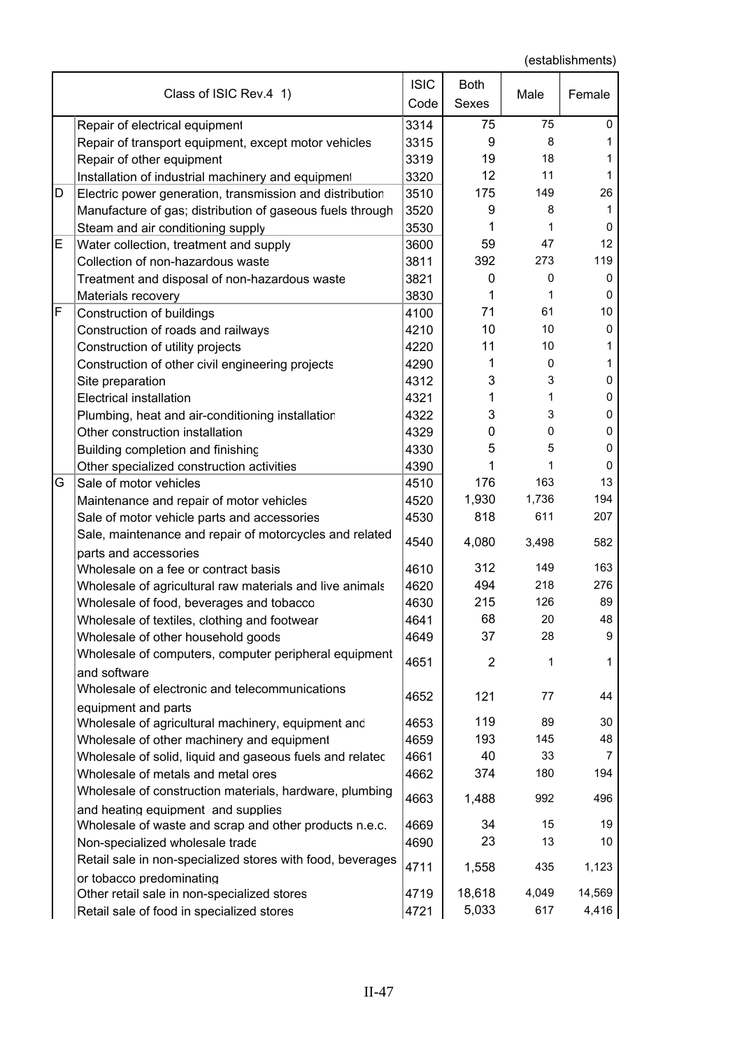|   | Class of ISIC Rev.4 1)                                                  | <b>ISIC</b><br>Code | <b>Both</b><br>Sexes | Male        | Female         |
|---|-------------------------------------------------------------------------|---------------------|----------------------|-------------|----------------|
|   | Repair of electrical equipment                                          | 3314                | 75                   | 75          | 0              |
|   | Repair of transport equipment, except motor vehicles                    | 3315                | 9                    | 8           | 1              |
|   | Repair of other equipment                                               | 3319                | 19                   | 18          |                |
|   | Installation of industrial machinery and equipment                      | 3320                | 12                   | 11          | 1              |
| D | Electric power generation, transmission and distribution                | 3510                | 175                  | 149         | 26             |
|   | Manufacture of gas; distribution of gaseous fuels through               | 3520                | 9                    | 8           | 1              |
|   | Steam and air conditioning supply                                       | 3530                | 1                    | 1           | 0              |
| Е | Water collection, treatment and supply                                  | 3600                | 59                   | 47          | 12             |
|   | Collection of non-hazardous waste                                       | 3811                | 392                  | 273         | 119            |
|   | Treatment and disposal of non-hazardous waste                           | 3821                | 0                    | $\mathbf 0$ | 0              |
|   | Materials recovery                                                      | 3830                | 1                    | 1           | 0              |
| F | Construction of buildings                                               | 4100                | 71                   | 61          | 10             |
|   | Construction of roads and railways                                      | 4210                | 10                   | 10          | 0              |
|   | Construction of utility projects                                        | 4220                | 11                   | 10          | 1              |
|   | Construction of other civil engineering projects                        | 4290                | 1                    | 0           | 1              |
|   | Site preparation                                                        | 4312                | 3                    | 3           | 0              |
|   | <b>Electrical installation</b>                                          | 4321                | 1                    | 1           | 0              |
|   | Plumbing, heat and air-conditioning installatior                        | 4322                | 3                    | 3           | 0              |
|   | Other construction installation                                         | 4329                | 0                    | 0           | 0              |
|   | Building completion and finishing                                       | 4330                | 5                    | 5           | 0              |
|   | Other specialized construction activities                               | 4390                | 1                    | 1           | 0              |
| G | Sale of motor vehicles                                                  | 4510                | 176                  | 163         | 13             |
|   | Maintenance and repair of motor vehicles                                | 4520                | 1,930                | 1,736       | 194            |
|   | Sale of motor vehicle parts and accessories                             | 4530                | 818                  | 611         | 207            |
|   | Sale, maintenance and repair of motorcycles and related                 | 4540                | 4,080                | 3,498       | 582            |
|   | parts and accessories<br>Wholesale on a fee or contract basis           | 4610                | 312                  | 149         | 163            |
|   | Wholesale of agricultural raw materials and live animals                | 4620                | 494                  | 218         | 276            |
|   | Wholesale of food, beverages and tobacco                                | 4630                | 215                  | 126         | 89             |
|   | Wholesale of textiles, clothing and footwear                            | 4641                | 68                   | 20          | 48             |
|   | Wholesale of other household goods                                      | 4649                | 37                   | 28          | 9              |
|   | Wholesale of computers, computer peripheral equipment                   |                     |                      |             |                |
|   | and software                                                            | 4651                | $\overline{2}$       | 1           | 1              |
|   | Wholesale of electronic and telecommunications<br>equipment and parts   | 4652                | 121                  | 77          | 44             |
|   | Wholesale of agricultural machinery, equipment and                      | 4653                | 119                  | 89          | 30             |
|   | Wholesale of other machinery and equipment                              | 4659                | 193                  | 145         | 48             |
|   | Wholesale of solid, liquid and gaseous fuels and relatec                | 4661                | 40                   | 33          | $\overline{7}$ |
|   | Wholesale of metals and metal ores                                      | 4662                | 374                  | 180         | 194            |
|   | Wholesale of construction materials, hardware, plumbing                 |                     |                      |             |                |
|   | and heating equipment and supplies                                      | 4663                | 1,488                | 992         | 496            |
|   | Wholesale of waste and scrap and other products n.e.c.                  | 4669                | 34                   | 15          | 19             |
|   | Non-specialized wholesale trade                                         | 4690                | 23                   | 13          | 10             |
|   | Retail sale in non-specialized stores with food, beverages              | 4711                | 1,558                | 435         | 1,123          |
|   | or tobacco predominating<br>Other retail sale in non-specialized stores | 4719                | 18,618               | 4,049       | 14,569         |
|   | Retail sale of food in specialized stores                               | 4721                | 5,033                | 617         | 4,416          |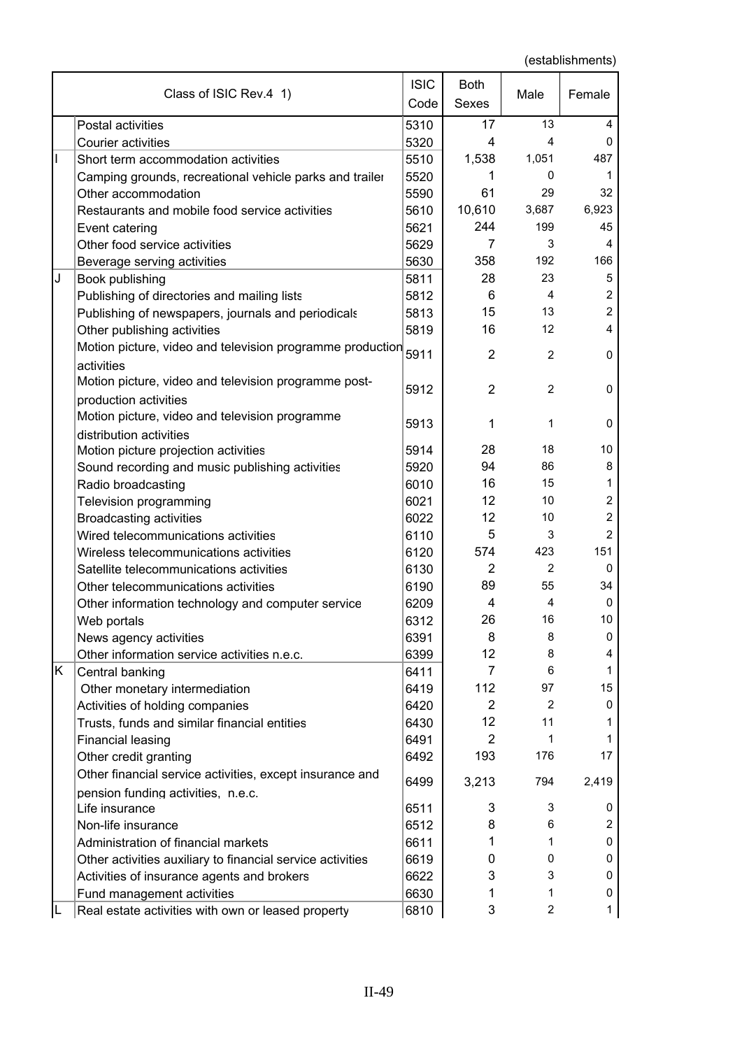|    | Class of ISIC Rev.4 1)                                                  | <b>ISIC</b><br>Code | <b>Both</b><br><b>Sexes</b> | Male           | Female           |
|----|-------------------------------------------------------------------------|---------------------|-----------------------------|----------------|------------------|
|    | Postal activities                                                       | 5310                | 17                          | 13             | 4                |
|    | <b>Courier activities</b>                                               | 5320                | 4                           | 4              | $\mathbf 0$      |
| I  | Short term accommodation activities                                     | 5510                | 1,538                       | 1,051          | 487              |
|    | Camping grounds, recreational vehicle parks and trailer                 | 5520                | 1                           | 0              | 1                |
|    | Other accommodation                                                     | 5590                | 61                          | 29             | 32               |
|    | Restaurants and mobile food service activities                          | 5610                | 10,610                      | 3,687          | 6,923            |
|    | Event catering                                                          | 5621                | 244                         | 199            | 45               |
|    | Other food service activities                                           | 5629                | 7                           | 3              | 4                |
|    | Beverage serving activities                                             | 5630                | 358                         | 192            | 166              |
| J  | Book publishing                                                         | 5811                | 28                          | 23             | $\mathbf 5$      |
|    | Publishing of directories and mailing lists                             | 5812                | 6                           | 4              | $\mathbf 2$      |
|    | Publishing of newspapers, journals and periodicals                      | 5813                | 15                          | 13             | $\mathbf 2$      |
|    | Other publishing activities                                             | 5819                | 16                          | 12             | 4                |
|    | Motion picture, video and television programme production<br>activities | 5911                | $\overline{2}$              | 2              | $\mathbf 0$      |
|    | Motion picture, video and television programme post-                    | 5912                | $\overline{2}$              | $\overline{2}$ | 0                |
|    | production activities<br>Motion picture, video and television programme | 5913                | 1                           | 1              | 0                |
|    | distribution activities                                                 |                     |                             |                |                  |
|    | Motion picture projection activities                                    | 5914                | 28                          | 18             | 10               |
|    | Sound recording and music publishing activities                         | 5920                | 94                          | 86             | 8                |
|    | Radio broadcasting                                                      | 6010                | 16                          | 15             | 1                |
|    | Television programming                                                  | 6021                | 12                          | 10             | $\boldsymbol{2}$ |
|    | <b>Broadcasting activities</b>                                          | 6022                | 12                          | 10             | $\overline{c}$   |
|    | Wired telecommunications activities                                     | 6110                | 5                           | 3              | $\overline{2}$   |
|    | Wireless telecommunications activities                                  | 6120                | 574                         | 423            | 151              |
|    | Satellite telecommunications activities                                 | 6130                | 2                           | 2              | 0                |
|    | Other telecommunications activities                                     | 6190                | 89                          | 55             | 34               |
|    | Other information technology and computer service                       | 6209                | 4                           | 4              | 0                |
|    | Web portals                                                             | 6312                | 26                          | 16             | 10               |
|    | News agency activities                                                  | 6391                | 8                           | 8              | 0                |
|    | Other information service activities n.e.c.                             | 6399                | 12                          | 8              | 4                |
| K. | Central banking                                                         | 6411                | $\overline{7}$              | 6              | 1                |
|    | Other monetary intermediation                                           | 6419                | 112                         | 97             | 15               |
|    | Activities of holding companies                                         | 6420                | 2                           | 2              | 0                |
|    | Trusts, funds and similar financial entities                            | 6430                | 12                          | 11             | 1                |
|    | Financial leasing                                                       | 6491                | $\overline{2}$              | 1              | 1                |
|    | Other credit granting                                                   | 6492                | 193                         | 176            | 17               |
|    | Other financial service activities, except insurance and                | 6499                | 3,213                       | 794            | 2,419            |
|    | pension funding activities, n.e.c.                                      |                     |                             |                |                  |
|    | Life insurance                                                          | 6511                | 3                           | 3              | 0                |
|    | Non-life insurance                                                      | 6512                | 8                           | 6              | 2                |
|    | Administration of financial markets                                     | 6611                | 1                           | 1              | 0                |
|    | Other activities auxiliary to financial service activities              | 6619                | 0                           | 0              | 0                |
|    | Activities of insurance agents and brokers                              | 6622                | 3                           | 3              | 0                |
|    | Fund management activities                                              | 6630                | 1                           | 1              | 0                |
|    | Real estate activities with own or leased property                      | 6810                | 3                           | $\overline{2}$ | 1                |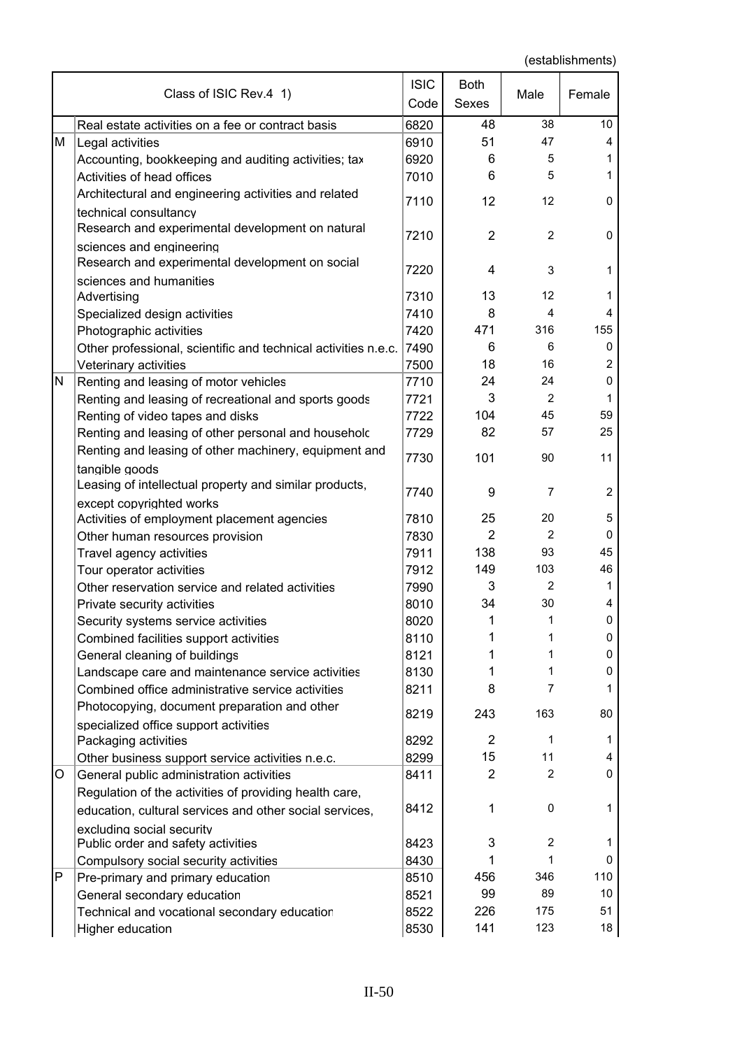|   | Class of ISIC Rev.4 1)                                                             | <b>ISIC</b><br>Code | Both<br>Sexes  | Male           | Female         |
|---|------------------------------------------------------------------------------------|---------------------|----------------|----------------|----------------|
|   | Real estate activities on a fee or contract basis                                  | 6820                | 48             | 38             | 10             |
| М | Legal activities                                                                   | 6910                | 51             | 47             | 4              |
|   | Accounting, bookkeeping and auditing activities; tax                               | 6920                | 6              | 5              | 1              |
|   | Activities of head offices                                                         | 7010                | 6              | 5              | 1              |
|   | Architectural and engineering activities and related                               |                     |                |                |                |
|   | technical consultancy                                                              | 7110                | 12             | 12             | 0              |
|   | Research and experimental development on natural                                   |                     |                |                |                |
|   | sciences and engineering                                                           | 7210                | $\overline{2}$ | $\overline{2}$ | 0              |
|   | Research and experimental development on social                                    |                     |                |                |                |
|   | sciences and humanities                                                            | 7220                | 4              | 3              | 1              |
|   | Advertising                                                                        | 7310                | 13             | 12             | 1              |
|   | Specialized design activities                                                      | 7410                | 8              | 4              | 4              |
|   | Photographic activities                                                            | 7420                | 471            | 316            | 155            |
|   | Other professional, scientific and technical activities n.e.c.                     | 7490                | 6              | 6              | 0              |
|   | Veterinary activities                                                              | 7500                | 18             | 16             | $\overline{c}$ |
| N | Renting and leasing of motor vehicles                                              | 7710                | 24             | 24             | 0              |
|   | Renting and leasing of recreational and sports goods                               | 7721                | 3              | 2              | 1              |
|   | Renting of video tapes and disks                                                   | 7722                | 104            | 45             | 59             |
|   | Renting and leasing of other personal and householc                                | 7729                | 82             | 57             | 25             |
|   |                                                                                    |                     |                |                |                |
|   | Renting and leasing of other machinery, equipment and                              | 7730                | 101            | 90             | 11             |
|   | tangible goods                                                                     |                     |                |                |                |
|   | Leasing of intellectual property and similar products,                             | 7740                | 9              | $\overline{7}$ | $\overline{2}$ |
|   | except copyrighted works                                                           | 7810                | 25             | 20             | 5              |
|   | Activities of employment placement agencies                                        | 7830                | $\overline{2}$ | $\overline{2}$ | 0              |
|   | Other human resources provision                                                    | 7911                | 138            | 93             | 45             |
|   | Travel agency activities<br>Tour operator activities                               | 7912                | 149            | 103            | 46             |
|   | Other reservation service and related activities                                   | 7990                | 3              | 2              | 1              |
|   | Private security activities                                                        | 8010                | 34             | 30             | 4              |
|   |                                                                                    | 8020                | 1              | 1              | 0              |
|   | Security systems service activities<br>Combined facilities support activities      | 8110                | 1              | 1              | 0              |
|   |                                                                                    | 8121                | 1              | 1              | 0              |
|   | General cleaning of buildings<br>Landscape care and maintenance service activities | 8130                | 1              | $\mathbf{1}$   | 0              |
|   | Combined office administrative service activities                                  | 8211                | 8              | $\overline{7}$ | 1              |
|   | Photocopying, document preparation and other                                       |                     |                |                |                |
|   |                                                                                    | 8219                | 243            | 163            | 80             |
|   | specialized office support activities<br>Packaging activities                      | 8292                | $\overline{2}$ | $\mathbf{1}$   | 1              |
|   | Other business support service activities n.e.c.                                   | 8299                | 15             | 11             | 4              |
| O | General public administration activities                                           | 8411                | $\overline{2}$ | $\overline{2}$ | 0              |
|   | Regulation of the activities of providing health care,                             |                     |                |                |                |
|   |                                                                                    | 8412                | 1              | 0              | 1              |
|   | education, cultural services and other social services,                            |                     |                |                |                |
|   | excluding social security                                                          | 8423                | 3              | $\overline{c}$ | 1              |
|   | Public order and safety activities                                                 | 8430                | 1              | $\mathbf{1}$   | 0              |
| Ρ | Compulsory social security activities                                              |                     | 456            | 346            | 110            |
|   | Pre-primary and primary education                                                  | 8510                | 99             | 89             | 10             |
|   | General secondary education                                                        | 8521                | 226            | 175            | 51             |
|   | Technical and vocational secondary education                                       | 8522                |                | 123            | 18             |
|   | Higher education                                                                   | 8530                | 141            |                |                |